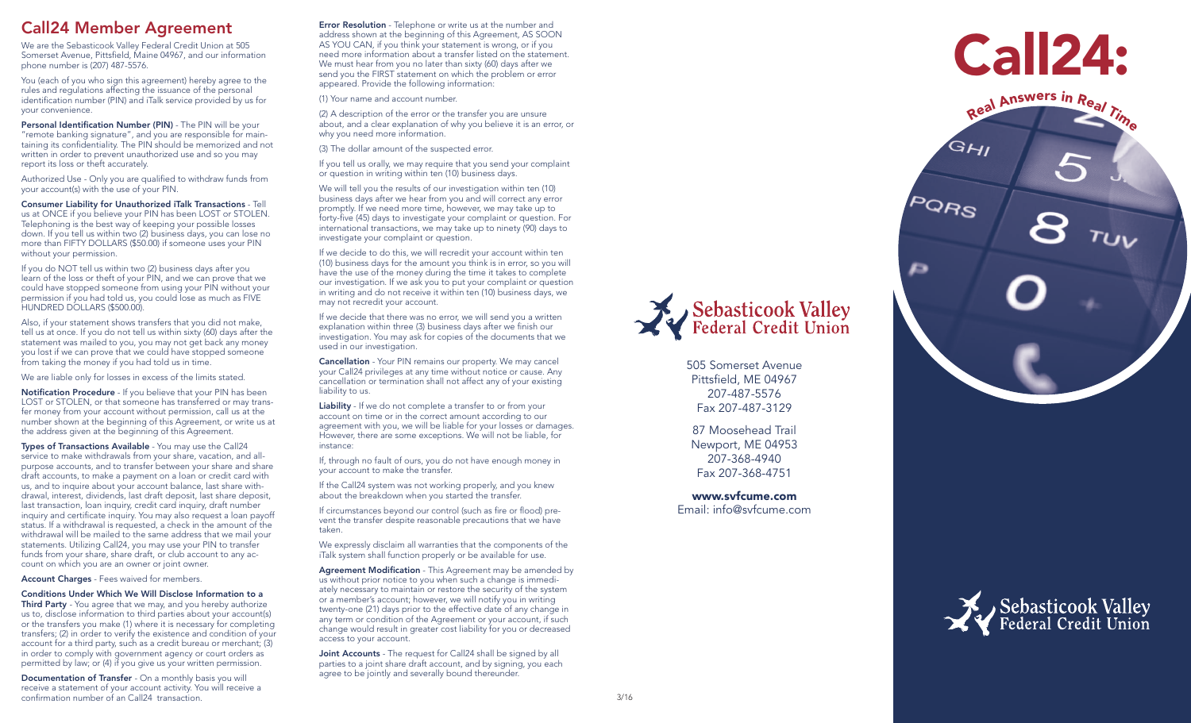#### Call24 Member Agreement

We are the Sebasticook Valley Federal Credit Union at 505 Somerset Avenue, Pittsfield, Maine 04967, and our information phone number is (207) 487-5576.

You (each of you who sign this agreement) hereby agree to the rules and regulations affecting the issuance of the personal identification number (PIN) and iTalk service provided by us for your convenience.

Personal Identification Number (PIN) - The PIN will be your "remote banking signature", and you are responsible for main taining its confidentiality. The PIN should be memorized and not written in order to prevent unauthorized use and so you may report its loss or theft accurately.

Authorized Use - Only you are qualified to withdraw funds from your account(s) with the use of your PIN.

Consumer Liability for Unauthorized iTalk Transactions - Tell us at ONCE if you believe your PIN has been LOST or STOLEN. Telephoning is the best way of keeping your possible losses down. If you tell us within two (2) business days, you can lose no more than FIFTY DOLLARS (\$50.00) if someone uses your PIN without your permission.

If you do NOT tell us within two (2) business days after you learn of the loss or theft of your PIN, and we can prove that we could have stopped someone from using your PIN without your permission if you had told us, you could lose as much as FIVE HUNDRED DOLLARS (\$500.00).

Also, if your statement shows transfers that you did not make, tell us at once. If you do not tell us within sixty (60) days after the statement was mailed to you, you may not get back any money you lost if we can prove that we could have stopped someone from taking the money if you had told us in time.

We are liable only for losses in excess of the limits stated.

Notification Procedure - If you believe that your PIN has been LOST or STOLEN, or that someone has transferred or may trans fer money from your account without permission, call us at the number shown at the beginning of this Agreement, or write us at the address given at the beginning of this Agreement.

Types of Transactions Available - You may use the Call24 service to make withdrawals from your share, vacation, and allpurpose accounts, and to transfer between your share and share draft accounts, to make a payment on a loan or credit card with us, and to inquire about your account balance, last share with drawal, interest, dividends, last draft deposit, last share deposit, last transaction, loan inquiry, credit card inquiry, draft number inquiry and certificate inquiry. You may also request a loan payoff status. If a withdrawal is requested, a check in the amount of the withdrawal will be mailed to the same address that we mail your statements. Utilizing Call24, you may use your PIN to transfer funds from your share, share draft, or club account to any ac count on which you are an owner or joint owner.

Account Charges - Fees waived for members.

Conditions Under Which We Will Disclose Information to a

**Third Party** - You agree that we may, and you hereby authorize us to, disclose information to third parties about your account(s) or the transfers you make (1) where it is necessary for completing transfers; (2) in order to verify the existence and condition of your account for a third party, such as a credit bureau or merchant; (3) in order to comply with government agency or court orders as permitted by law; or (4) if you give us your written permission.

Documentation of Transfer - On a monthly basis you will receive a statement of your account activity. You will receive a confirmation number of an Call24 transaction.

Error Resolution - Telephone or write us at the number and address shown at the beginning of this Agreement, AS SOON AS YOU CAN, if you think your statement is wrong, or if you need more information about a transfer listed on the statement. We must hear from you no later than sixty (60) days after we send you the FIRST statement on which the problem or error appeared. Provide the following information:

(1) Your name and account number.

(2) A description of the error or the transfer you are unsure about, and a clear explanation of why you believe it is an error, or why you need more information.

(3) The dollar amount of the suspected error.

If you tell us orally, we may require that you send your complaint or question in writing within ten (10) business days.

We will tell you the results of our investigation within ten (10) business days after we hear from you and will correct any error promptly. If we need more time, however, we may take up to forty-five (45) days to investigate your complaint or question. For international transactions, we may take up to ninety (90) days to investigate your complaint or question.

If we decide to do this, we will recredit your account within ten (10) business days for the amount you think is in error, so you will have the use of the money during the time it takes to complete our investigation. If we ask you to put your complaint or question in writing and do not receive it within ten (10) business days, we may not recredit your account.

If we decide that there was no error, we will send you a written explanation within three (3) business days after we finish our investigation. You may ask for copies of the documents that we used in our investigation.

Cancellation - Your PIN remains our property. We may cancel your Call24 privileges at any time without notice or cause. Any cancellation or termination shall not affect any of your existing liability to us.

Liability - If we do not complete a transfer to or from your account on time or in the correct amount according to our agreement with you, we will be liable for your losses or damages. However, there are some exceptions. We will not be liable, for instance:

If, through no fault of ours, you do not have enough money in your account to make the transfer.

If the Call24 system was not working properly, and you knew about the breakdown when you started the transfer.

If circumstances beyond our control (such as fire or flood) pre vent the transfer despite reasonable precautions that we have taken.

We expressly disclaim all warranties that the components of the iTalk system shall function properly or be available for use.

Agreement Modification - This Agreement may be amended by us without prior notice to you when such a change is immedi ately necessary to maintain or restore the security of the system or a member's account; however, we will notify you in writing twenty-one (21) days prior to the effective date of any change in any term or condition of the Agreement or your account, if such change would result in greater cost liability for you or decreased access to your account.

Joint Accounts - The request for Call24 shall be signed by all parties to a joint share draft account, and by signing, you each agree to be jointly and severally bound thereunder.



505 Somerset Avenue Pittsfield, ME 04967 207-487-5576 Fax 207-487-3129

87 Moosehead Trail Newport, ME 04953 207-368-4940 Fax 207-368-4751

www.svfcume.com Email: info@svfcume.com



GHI

**PORS** 

Ð